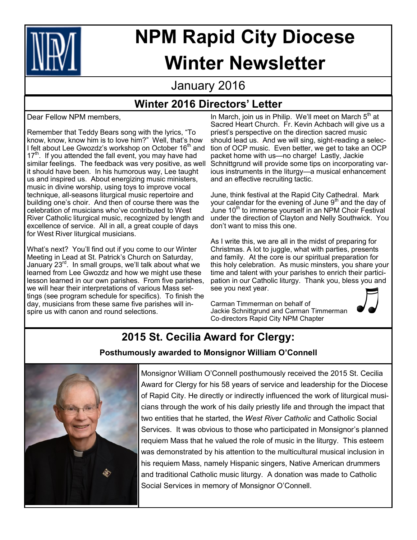

# **NPM Rapid City Diocese Winter Newsletter**

## January 2016

## **Winter 2016 Directors' Letter**

Dear Fellow NPM members,

Remember that Teddy Bears song with the lyrics, "To know, know, know him is to love him?" Well, that's how I felt about Lee Gwozdz's workshop on October 16<sup>th</sup> and  $17<sup>th</sup>$ . If you attended the fall event, you may have had similar feelings. The feedback was very positive, as well it should have been. In his humorous way, Lee taught us and inspired us. About energizing music ministers, music in divine worship, using toys to improve vocal technique, all-seasons liturgical music repertoire and building one's choir. And then of course there was the celebration of musicians who've contributed to West River Catholic liturgical music, recognized by length and excellence of service. All in all, a great couple of days for West River liturgical musicians.

What's next? You'll find out if you come to our Winter Meeting in Lead at St. Patrick's Church on Saturday, January 23<sup>rd</sup>. In small groups, we'll talk about what we learned from Lee Gwozdz and how we might use these lesson learned in our own parishes. From five parishes, we will hear their interpretations of various Mass settings (see program schedule for specifics). To finish the day, musicians from these same five parishes will inspire us with canon and round selections.

In March, join us in Philip. We'll meet on March  $5<sup>th</sup>$  at Sacred Heart Church. Fr. Kevin Achbach will give us a priest's perspective on the direction sacred music should lead us. And we will sing, sight-reading a selection of OCP music. Even better, we get to take an OCP packet home with us—no charge! Lastly, Jackie Schnittgrund will provide some tips on incorporating various instruments in the liturgy—a musical enhancement and an effective recruiting tactic.

June, think festival at the Rapid City Cathedral. Mark your calendar for the evening of June 9<sup>th</sup> and the day of June 10<sup>th</sup> to immerse yourself in an NPM Choir Festival under the direction of Clayton and Nelly Southwick. You don't want to miss this one.

As I write this, we are all in the midst of preparing for Christmas. A lot to juggle, what with parties, presents and family. At the core is our spiritual preparation for this holy celebration. As music minsters, you share your time and talent with your parishes to enrich their participation in our Catholic liturgy. Thank you, bless you and see you next year.

Carman Timmerman on behalf of Jackie Schnittgrund and Carman Timmerman Co-directors Rapid City NPM Chapter



# **2015 St. Cecilia Award for Clergy:**

### **Posthumously awarded to Monsignor William O'Connell**



Monsignor William O'Connell posthumously received the 2015 St. Cecilia Award for Clergy for his 58 years of service and leadership for the Diocese of Rapid City. He directly or indirectly influenced the work of liturgical musicians through the work of his daily priestly life and through the impact that two entities that he started, the *West River Catholic* and Catholic Social Services. It was obvious to those who participated in Monsignor's planned requiem Mass that he valued the role of music in the liturgy. This esteem was demonstrated by his attention to the multicultural musical inclusion in his requiem Mass, namely Hispanic singers, Native American drummers and traditional Catholic music liturgy. A donation was made to Catholic Social Services in memory of Monsignor O'Connell.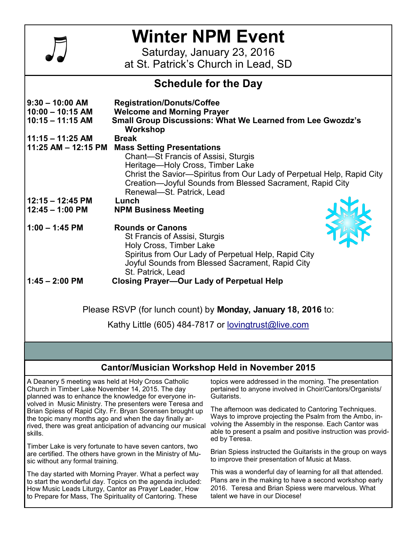

# **Winter NPM Event**

Saturday, January 23, 2016 at St. Patrick's Church in Lead, SD

### **Schedule for the Day**

| $9:30 - 10:00$ AM<br>$10:00 - 10:15$ AM                       | <b>Registration/Donuts/Coffee</b><br><b>Welcome and Morning Prayer</b>        |  |
|---------------------------------------------------------------|-------------------------------------------------------------------------------|--|
| $10:15 - 11:15$ AM                                            | <b>Small Group Discussions: What We Learned from Lee Gwozdz's</b><br>Workshop |  |
| $11:15 - 11:25$ AM                                            | <b>Break</b>                                                                  |  |
| 11:25 AM - 12:15 PM                                           | <b>Mass Setting Presentations</b>                                             |  |
|                                                               | Chant-St Francis of Assisi, Sturgis                                           |  |
|                                                               | Heritage—Holy Cross, Timber Lake                                              |  |
|                                                               | Christ the Savior—Spiritus from Our Lady of Perpetual Help, Rapid City        |  |
|                                                               | Creation—Joyful Sounds from Blessed Sacrament, Rapid City                     |  |
|                                                               | Renewal-St. Patrick, Lead                                                     |  |
| $12:15 - 12:45$ PM                                            | Lunch                                                                         |  |
| $12:45 - 1:00$ PM                                             | <b>NPM Business Meeting</b>                                                   |  |
| $1:00 - 1:45$ PM                                              | <b>Rounds or Canons</b>                                                       |  |
|                                                               | St Francis of Assisi, Sturgis                                                 |  |
|                                                               | Holy Cross, Timber Lake                                                       |  |
|                                                               | Spiritus from Our Lady of Perpetual Help, Rapid City                          |  |
|                                                               | Joyful Sounds from Blessed Sacrament, Rapid City                              |  |
|                                                               | St. Patrick, Lead                                                             |  |
| $1:45 - 2:00$ PM                                              | <b>Closing Prayer-Our Lady of Perpetual Help</b>                              |  |
|                                                               |                                                                               |  |
| Please RSVP (for lunch count) by Monday, January 18, 2016 to: |                                                                               |  |
|                                                               |                                                                               |  |

Kathy Little (605) 484-7817 or [lovingtrust@live.com](mailto:lovingtrust@live.com)

### **Cantor/Musician Workshop Held in November 2015**

A Deanery 5 meeting was held at Holy Cross Catholic Church in Timber Lake November 14, 2015. The day planned was to enhance the knowledge for everyone involved in Music Ministry. The presenters were Teresa and Brian Spiess of Rapid City. Fr. Bryan Sorensen brought up the topic many months ago and when the day finally arrived, there was great anticipation of advancing our musical skills.

Timber Lake is very fortunate to have seven cantors, two are certified. The others have grown in the Ministry of Music without any formal training.

The day started with Morning Prayer. What a perfect way to start the wonderful day. Topics on the agenda included: How Music Leads Liturgy, Cantor as Prayer Leader, How to Prepare for Mass, The Spirituality of Cantoring. These

topics were addressed in the morning. The presentation pertained to anyone involved in Choir/Cantors/Organists/ Guitarists.

The afternoon was dedicated to Cantoring Techniques. Ways to improve projecting the Psalm from the Ambo, involving the Assembly in the response. Each Cantor was able to present a psalm and positive instruction was provided by Teresa.

Brian Spiess instructed the Guitarists in the group on ways to improve their presentation of Music at Mass.

This was a wonderful day of learning for all that attended. Plans are in the making to have a second workshop early 2016. Teresa and Brian Spiess were marvelous. What talent we have in our Diocese!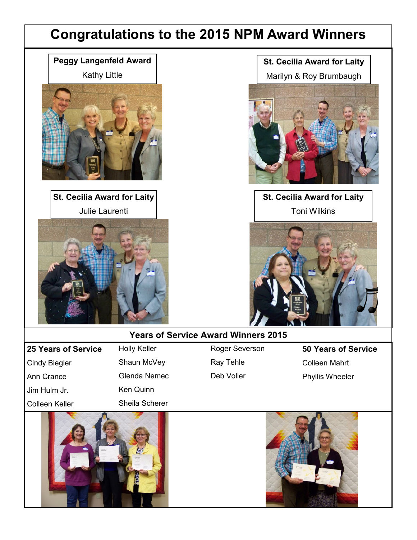## **Congratulations to the 2015 NPM Award Winners**

**Peggy Langenfeld Award**



**St. Cecilia Award for Laity** Julie Laurenti



**St. Cecilia Award for Laity**

Marilyn & Roy Brumbaugh



**St. Cecilia Award for Laity** Toni Wilkins



#### **Years of Service Award Winners 2015**

**25 Years of Service** Cindy Biegler Ann Crance Jim Hulm Jr. Colleen Keller

Holly Keller Shaun McVey Glenda Nemec Ken Quinn Sheila Scherer

Roger Severson Ray Tehle Deb Voller

**50 Years of Service** Colleen Mahrt Phyllis Wheeler